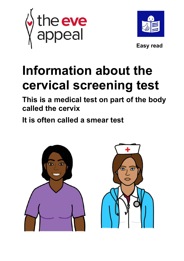



# **Information about the cervical screening test**

**This is a medical test on part of the body called the cervix**

**It is often called a smear test**

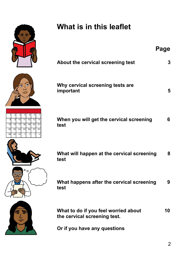

 $\overline{12}$ 

 $\overline{2}$ 

 $\circ$   $\circ$ 

 $\overline{13}$ 

 $10$  $\overline{11}$ 

15 16  $17$  $\overline{18}$  $\overline{19}$  $\overline{20}$ 

 $\overline{22}$  $\overline{23}$  $\overline{24}$  $\overline{25}$  $\overline{26}$  $\overline{27}$ 

 $\overline{29}$  $\overline{30}$  $\overline{31}$ 

## **What is in this leaflet**

|                |                                                    | Page |
|----------------|----------------------------------------------------|------|
|                | About the cervical screening test                  | 3    |
|                | Why cervical screening tests are<br>important      | 5    |
|                |                                                    |      |
| 14<br>21<br>28 | When you will get the cervical screening<br>test   | 6    |
|                | What will happen at the cervical screening<br>test | 8    |
|                |                                                    |      |

**What happens after the cervical screening 9 test**



What to do if you feel worried about 10 **the cervical screening test.**

**Or if you have any questions**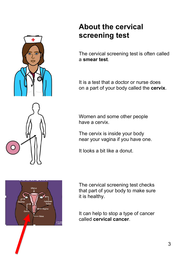

### **About the cervical screening test**

The cervical screening test is often called a **smear test**.

It is a test that a doctor or nurse does on a part of your body called the **cervix**.

Women and some other people have a cervix.

The cervix is inside your body near your vagina if you have one.

It looks a bit like a donut.



The cervical screening test checks that part of your body to make sure it is healthy.

It can help to stop a type of cancer called **cervical cancer**.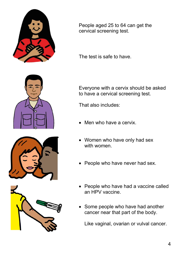

People aged 25 to 64 can get the cervical screening test.

The test is safe to have.

Everyone with a cervix should be asked to have a cervical screening test.

That also includes:

- Men who have a cervix.
- Women who have only had sex with women.
- People who have never had sex.
- People who have had a vaccine called an HPV vaccine.
- Some people who have had another cancer near that part of the body.

Like vaginal, ovarian or vulval cancer.





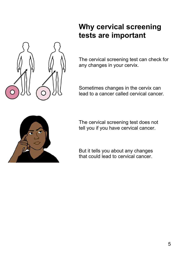

### **Why cervical screening tests are important**

The cervical screening test can check for any changes in your cervix.

Sometimes changes in the cervix can lead to a cancer called cervical cancer.



The cervical screening test does not tell you if you have cervical cancer.

But it tells you about any changes that could lead to cervical cancer.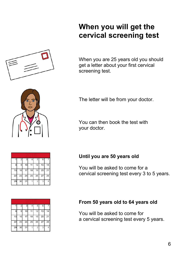

### **When you will get the cervical screening test**

When you are 25 years old you should get a letter about your first cervical screening test.

The letter will be from your doctor.

You can then book the test with your doctor.

#### **Until you are 50 years old**

You will be asked to come for a cervical screening test every 3 to 5 years.

#### **From 50 years old to 64 years old**

You will be asked to come for a cervical screening test every 5 years.



|    | 2  | 3  | 4  | 5              | 6  |    |  |  |
|----|----|----|----|----------------|----|----|--|--|
| 8  | 9  | 10 | 11 | 12             | 13 | 14 |  |  |
| 15 | 16 | 17 | 18 | 19             | 20 | 21 |  |  |
| 22 | 23 | 24 | 25 | 26             | 27 | 28 |  |  |
| 29 | 30 | 31 |    | $\overline{2}$ | 3  |    |  |  |

|    | 2  | з  | 4  | 5              | 6  |    |  |  |  |  |
|----|----|----|----|----------------|----|----|--|--|--|--|
| 8  | 9  | 10 |    | 12             | 13 |    |  |  |  |  |
| 15 | 16 | 17 | 18 | 19             | 20 | 21 |  |  |  |  |
| 22 | 23 | 24 | 25 | 26             | 27 | 28 |  |  |  |  |
| 29 | 30 | 31 |    | $\overline{2}$ | 3  | 4  |  |  |  |  |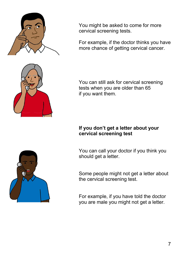

You might be asked to come for more cervical screening tests.

For example, if the doctor thinks you have more chance of getting cervical cancer.

You can still ask for cervical screening tests when you are older than 65 if you want them.

#### **If you don't get a letter about your cervical screening test**

You can call your doctor if you think you should get a letter.

Some people might not get a letter about the cervical screening test.

For example, if you have told the doctor you are male you might not get a letter.

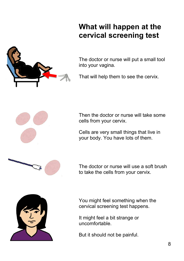### **What will happen at the cervical screening test**



The doctor or nurse will put a small tool into your vagina.

That will help them to see the cervix.



Then the doctor or nurse will take some cells from your cervix.

Cells are very small things that live in your body. You have lots of them.



The doctor or nurse will use a soft brush to take the cells from your cervix.



You might feel something when the cervical screening test happens.

It might feel a bit strange or uncomfortable.

But it should not be painful.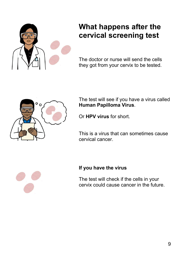

### **What happens after the cervical screening test**

The doctor or nurse will send the cells they got from your cervix to be tested.



The test will see if you have a virus called **Human Papilloma Virus**.

Or **HPV virus** for short.

This is a virus that can sometimes cause cervical cancer.



### **If you have the virus**

The test will check if the cells in your cervix could cause cancer in the future.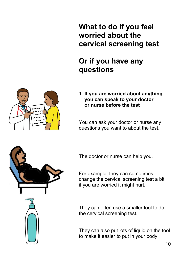**What to do if you feel worried about the cervical screening test**

### **Or if you have any questions**



**1. If you are worried about anything you can speak to your doctor or nurse before the test**

You can ask your doctor or nurse any questions you want to about the test.



The doctor or nurse can help you.

For example, they can sometimes change the cervical screening test a bit if you are worried it might hurt.

They can often use a smaller tool to do the cervical screening test.

They can also put lots of liquid on the tool to make it easier to put in your body.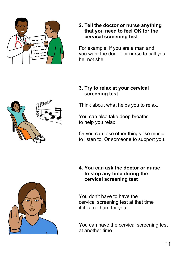

#### **2. Tell the doctor or nurse anything that you need to feel OK for the cervical screening test**

For example, if you are a man and you want the doctor or nurse to call you he, not she.

#### **3. Try to relax at your cervical screening test**

Think about what helps you to relax.

You can also take deep breaths to help you relax.

Or you can take other things like music to listen to. Or someone to support you.



**4. You can ask the doctor or nurse to stop any time during the cervical screening test**

You don't have to have the cervical screening test at that time if it is too hard for you.

You can have the cervical screening test at another time.

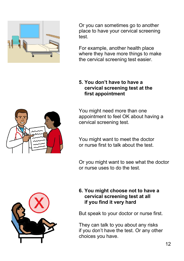

Or you can sometimes go to another place to have your cervical screening test.

For example, another health place where they have more things to make the cervical screening test easier.

#### **5. You don't have to have a cervical screening test at the first appointment**

You might need more than one appointment to feel OK about having a cervical screening test.

You might want to meet the doctor or nurse first to talk about the test.

Or you might want to see what the doctor or nurse uses to do the test.

#### **6. You might choose not to have a cervical screening test at all if you find it very hard**

But speak to your doctor or nurse first.

They can talk to you about any risks if you don't have the test. Or any other choices you have.